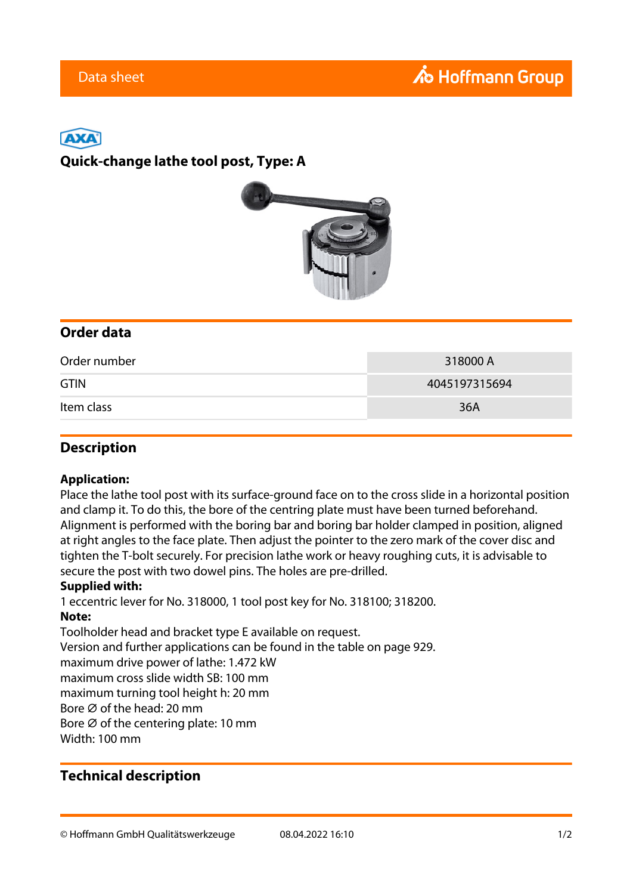# ГАХ

### **Quick-change lathe tool post, Type: A**



### **Order data**

| Order number | 318000 A      |
|--------------|---------------|
| <b>GTIN</b>  | 4045197315694 |
| Item class   | 36A           |

### **Description**

#### **Application:**

Place the lathe tool post with its surface-ground face on to the cross slide in a horizontal position and clamp it. To do this, the bore of the centring plate must have been turned beforehand. Alignment is performed with the boring bar and boring bar holder clamped in position, aligned at right angles to the face plate. Then adjust the pointer to the zero mark of the cover disc and tighten the T-bolt securely. For precision lathe work or heavy roughing cuts, it is advisable to secure the post with two dowel pins. The holes are pre-drilled.

#### **Supplied with:**

1 eccentric lever for No. 318000, 1 tool post key for No. 318100; 318200. **Note:** Toolholder head and bracket type E available on request.

Version and further applications can be found in the table on page 929.

maximum drive power of lathe: 1.472 kW

maximum cross slide width SB: 100 mm

maximum turning tool height h: 20 mm

Bore ⌀ of the head: 20 mm

Bore  $\varnothing$  of the centering plate: 10 mm

Width: 100 mm

### **Technical description**